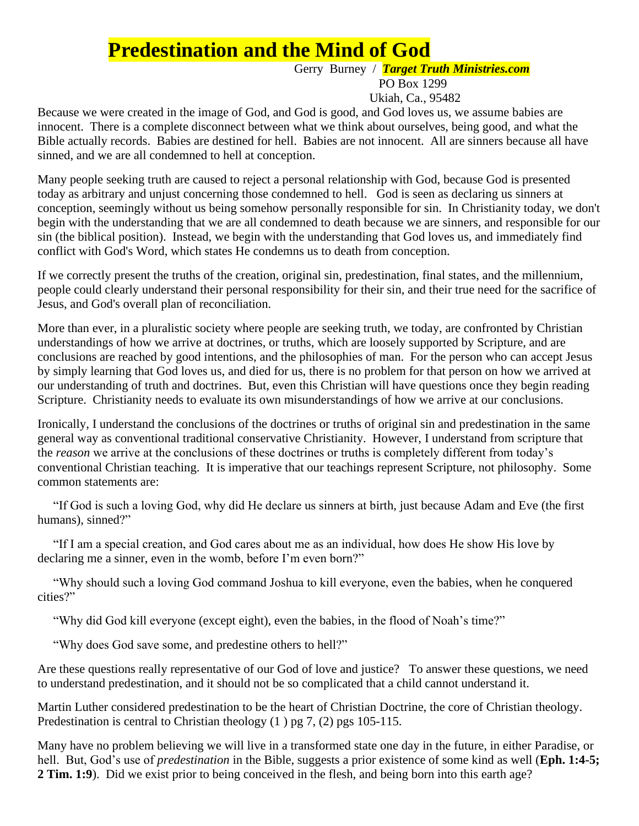# **Predestination and the Mind of God**

#### Gerry Burney / *Target Truth Ministries.com* PO Box 1299

Ukiah, Ca., 95482

Because we were created in the image of God, and God is good, and God loves us, we assume babies are innocent. There is a complete disconnect between what we think about ourselves, being good, and what the Bible actually records. Babies are destined for hell. Babies are not innocent. All are sinners because all have sinned, and we are all condemned to hell at conception.

Many people seeking truth are caused to reject a personal relationship with God, because God is presented today as arbitrary and unjust concerning those condemned to hell. God is seen as declaring us sinners at conception, seemingly without us being somehow personally responsible for sin. In Christianity today, we don't begin with the understanding that we are all condemned to death because we are sinners, and responsible for our sin (the biblical position). Instead, we begin with the understanding that God loves us, and immediately find conflict with God's Word, which states He condemns us to death from conception.

If we correctly present the truths of the creation, original sin, predestination, final states, and the millennium, people could clearly understand their personal responsibility for their sin, and their true need for the sacrifice of Jesus, and God's overall plan of reconciliation.

More than ever, in a pluralistic society where people are seeking truth, we today, are confronted by Christian understandings of how we arrive at doctrines, or truths, which are loosely supported by Scripture, and are conclusions are reached by good intentions, and the philosophies of man. For the person who can accept Jesus by simply learning that God loves us, and died for us, there is no problem for that person on how we arrived at our understanding of truth and doctrines. But, even this Christian will have questions once they begin reading Scripture. Christianity needs to evaluate its own misunderstandings of how we arrive at our conclusions.

Ironically, I understand the conclusions of the doctrines or truths of original sin and predestination in the same general way as conventional traditional conservative Christianity. However, I understand from scripture that the *reason* we arrive at the conclusions of these doctrines or truths is completely different from today's conventional Christian teaching. It is imperative that our teachings represent Scripture, not philosophy. Some common statements are:

 "If God is such a loving God, why did He declare us sinners at birth, just because Adam and Eve (the first humans), sinned?"

 "If I am a special creation, and God cares about me as an individual, how does He show His love by declaring me a sinner, even in the womb, before I'm even born?"

 "Why should such a loving God command Joshua to kill everyone, even the babies, when he conquered cities?"

"Why did God kill everyone (except eight), even the babies, in the flood of Noah's time?"

"Why does God save some, and predestine others to hell?"

Are these questions really representative of our God of love and justice? To answer these questions, we need to understand predestination, and it should not be so complicated that a child cannot understand it.

Martin Luther considered predestination to be the heart of Christian Doctrine, the core of Christian theology. Predestination is central to Christian theology (1) pg 7, (2) pgs 105-115.

Many have no problem believing we will live in a transformed state one day in the future, in either Paradise, or hell. But, God's use of *predestination* in the Bible, suggests a prior existence of some kind as well (**Eph. 1:4-5; 2 Tim. 1:9**). Did we exist prior to being conceived in the flesh, and being born into this earth age?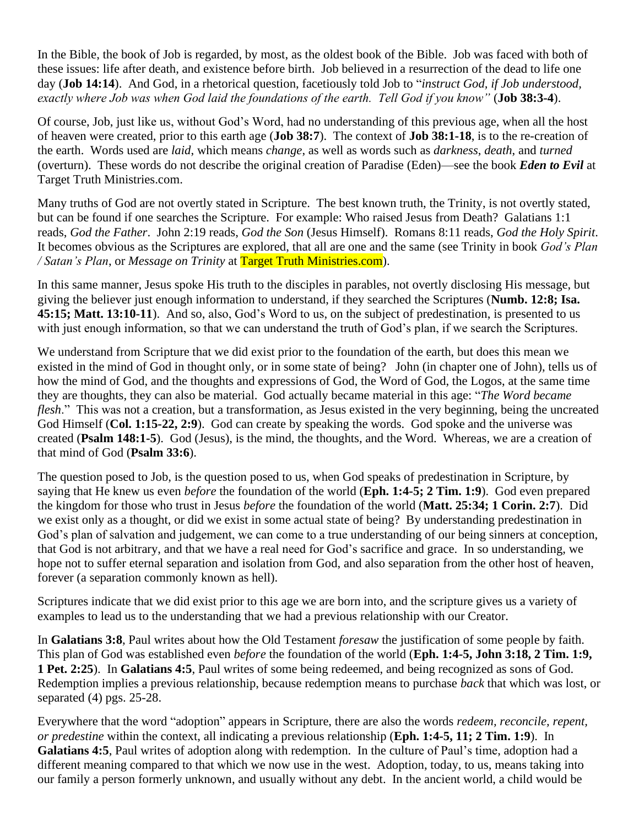In the Bible, the book of Job is regarded, by most, as the oldest book of the Bible. Job was faced with both of these issues: life after death, and existence before birth. Job believed in a resurrection of the dead to life one day (**Job 14:14**). And God, in a rhetorical question, facetiously told Job to "*instruct God, if Job understood, exactly where Job was when God laid the foundations of the earth. Tell God if you know"* (**Job 38:3-4**).

Of course, Job, just like us, without God's Word, had no understanding of this previous age, when all the host of heaven were created, prior to this earth age (**Job 38:7**). The context of **Job 38:1-18**, is to the re-creation of the earth. Words used are *laid*, which means *change*, as well as words such as *darkness*, *death*, and *turned* (overturn). These words do not describe the original creation of Paradise (Eden)—see the book *Eden to Evil* at Target Truth Ministries.com.

Many truths of God are not overtly stated in Scripture. The best known truth, the Trinity, is not overtly stated, but can be found if one searches the Scripture. For example: Who raised Jesus from Death? Galatians 1:1 reads, *God the Father*. John 2:19 reads, *God the Son* (Jesus Himself). Romans 8:11 reads, *God the Holy Spirit*. It becomes obvious as the Scriptures are explored, that all are one and the same (see Trinity in book *God's Plan / Satan's Plan*, or *Message on Trinity* at Target Truth Ministries.com).

In this same manner, Jesus spoke His truth to the disciples in parables, not overtly disclosing His message, but giving the believer just enough information to understand, if they searched the Scriptures (**Numb. 12:8; Isa. 45:15; Matt. 13:10-11**). And so, also, God's Word to us, on the subject of predestination, is presented to us with just enough information, so that we can understand the truth of God's plan, if we search the Scriptures.

We understand from Scripture that we did exist prior to the foundation of the earth, but does this mean we existed in the mind of God in thought only, or in some state of being? John (in chapter one of John), tells us of how the mind of God, and the thoughts and expressions of God, the Word of God, the Logos, at the same time they are thoughts, they can also be material. God actually became material in this age: "*The Word became flesh*." This was not a creation, but a transformation, as Jesus existed in the very beginning, being the uncreated God Himself (**Col. 1:15-22, 2:9**). God can create by speaking the words. God spoke and the universe was created (**Psalm 148:1-5**). God (Jesus), is the mind, the thoughts, and the Word. Whereas, we are a creation of that mind of God (**Psalm 33:6**).

The question posed to Job, is the question posed to us, when God speaks of predestination in Scripture, by saying that He knew us even *before* the foundation of the world (**Eph. 1:4-5; 2 Tim. 1:9**). God even prepared the kingdom for those who trust in Jesus *before* the foundation of the world (**Matt. 25:34; 1 Corin. 2:7**). Did we exist only as a thought, or did we exist in some actual state of being? By understanding predestination in God's plan of salvation and judgement, we can come to a true understanding of our being sinners at conception, that God is not arbitrary, and that we have a real need for God's sacrifice and grace. In so understanding, we hope not to suffer eternal separation and isolation from God, and also separation from the other host of heaven, forever (a separation commonly known as hell).

Scriptures indicate that we did exist prior to this age we are born into, and the scripture gives us a variety of examples to lead us to the understanding that we had a previous relationship with our Creator.

In **Galatians 3:8**, Paul writes about how the Old Testament *foresaw* the justification of some people by faith. This plan of God was established even *before* the foundation of the world (**Eph. 1:4-5, John 3:18, 2 Tim. 1:9, 1 Pet. 2:25**). In **Galatians 4:5**, Paul writes of some being redeemed, and being recognized as sons of God. Redemption implies a previous relationship, because redemption means to purchase *back* that which was lost, or separated (4) pgs. 25-28.

Everywhere that the word "adoption" appears in Scripture, there are also the words *redeem, reconcile, repent, or predestine* within the context, all indicating a previous relationship (**Eph. 1:4-5, 11; 2 Tim. 1:9**). In **Galatians 4:5**, Paul writes of adoption along with redemption. In the culture of Paul's time, adoption had a different meaning compared to that which we now use in the west. Adoption, today, to us, means taking into our family a person formerly unknown, and usually without any debt. In the ancient world, a child would be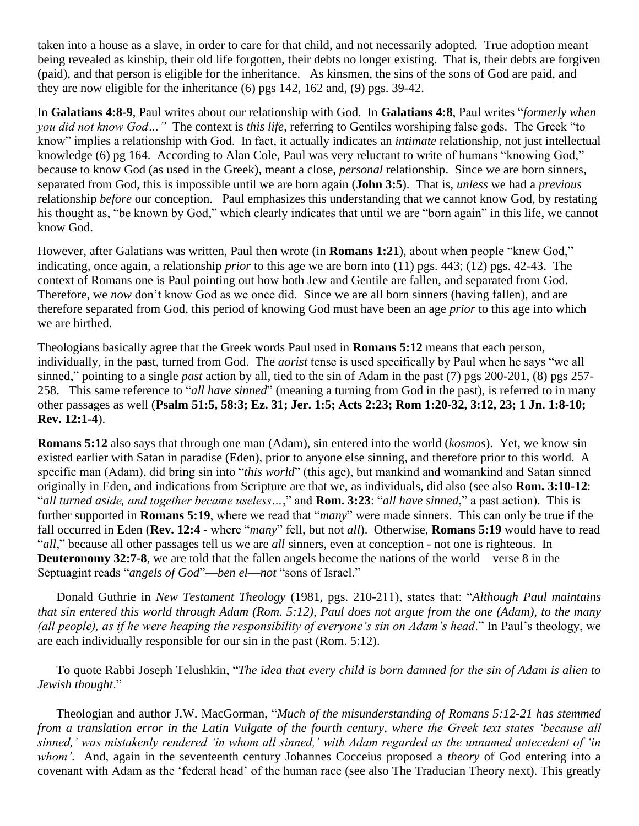taken into a house as a slave, in order to care for that child, and not necessarily adopted. True adoption meant being revealed as kinship, their old life forgotten, their debts no longer existing. That is, their debts are forgiven (paid), and that person is eligible for the inheritance. As kinsmen, the sins of the sons of God are paid, and they are now eligible for the inheritance (6) pgs 142, 162 and, (9) pgs. 39-42.

In **Galatians 4:8-9**, Paul writes about our relationship with God. In **Galatians 4:8**, Paul writes "*formerly when you did not know God…"* The context is *this life*, referring to Gentiles worshiping false gods. The Greek "to know" implies a relationship with God. In fact, it actually indicates an *intimate* relationship, not just intellectual knowledge (6) pg 164. According to Alan Cole, Paul was very reluctant to write of humans "knowing God," because to know God (as used in the Greek), meant a close, *personal* relationship. Since we are born sinners, separated from God, this is impossible until we are born again (**John 3:5**). That is, *unless* we had a *previous* relationship *before* our conception. Paul emphasizes this understanding that we cannot know God, by restating his thought as, "be known by God," which clearly indicates that until we are "born again" in this life, we cannot know God.

However, after Galatians was written, Paul then wrote (in **Romans 1:21**), about when people "knew God," indicating, once again, a relationship *prior* to this age we are born into (11) pgs. 443; (12) pgs. 42-43. The context of Romans one is Paul pointing out how both Jew and Gentile are fallen, and separated from God. Therefore, we *now* don't know God as we once did. Since we are all born sinners (having fallen), and are therefore separated from God, this period of knowing God must have been an age *prior* to this age into which we are birthed.

Theologians basically agree that the Greek words Paul used in **Romans 5:12** means that each person, individually, in the past, turned from God. The *aorist* tense is used specifically by Paul when he says "we all sinned," pointing to a single *past* action by all, tied to the sin of Adam in the past (7) pgs 200-201, (8) pgs 257- 258. This same reference to "*all have sinned*" (meaning a turning from God in the past), is referred to in many other passages as well (**Psalm 51:5, 58:3; Ez. 31; Jer. 1:5; Acts 2:23; Rom 1:20-32, 3:12, 23; 1 Jn. 1:8-10; Rev. 12:1-4**).

**Romans 5:12** also says that through one man (Adam), sin entered into the world (*kosmos*). Yet, we know sin existed earlier with Satan in paradise (Eden), prior to anyone else sinning, and therefore prior to this world. A specific man (Adam), did bring sin into "*this world*" (this age), but mankind and womankind and Satan sinned originally in Eden, and indications from Scripture are that we, as individuals, did also (see also **Rom. 3:10-12**: "*all turned aside, and together became useless…*," and **Rom. 3:23**: "*all have sinned*," a past action). This is further supported in **Romans 5:19**, where we read that "*many*" were made sinners. This can only be true if the fall occurred in Eden (**Rev. 12:4** - where "*many*" fell, but not *all*). Otherwise, **Romans 5:19** would have to read "*all*," because all other passages tell us we are *all* sinners, even at conception - not one is righteous. In **Deuteronomy 32:7-8**, we are told that the fallen angels become the nations of the world—verse 8 in the Septuagint reads "*angels of God*"—*ben el*—*not* "sons of Israel."

Donald Guthrie in *New Testament Theology* (1981, pgs. 210-211), states that: "*Although Paul maintains that sin entered this world through Adam (Rom. 5:12), Paul does not argue from the one (Adam), to the many (all people), as if he were heaping the responsibility of everyone's sin on Adam's head*." In Paul's theology, we are each individually responsible for our sin in the past (Rom. 5:12).

To quote Rabbi Joseph Telushkin, "*The idea that every child is born damned for the sin of Adam is alien to Jewish thought*."

Theologian and author J.W. MacGorman, "*Much of the misunderstanding of Romans 5:12-21 has stemmed from a translation error in the Latin Vulgate of the fourth century, where the Greek text states 'because all sinned,' was mistakenly rendered 'in whom all sinned,' with Adam regarded as the unnamed antecedent of 'in whom'*. And, again in the seventeenth century Johannes Cocceius proposed a *theory* of God entering into a covenant with Adam as the 'federal head' of the human race (see also The Traducian Theory next). This greatly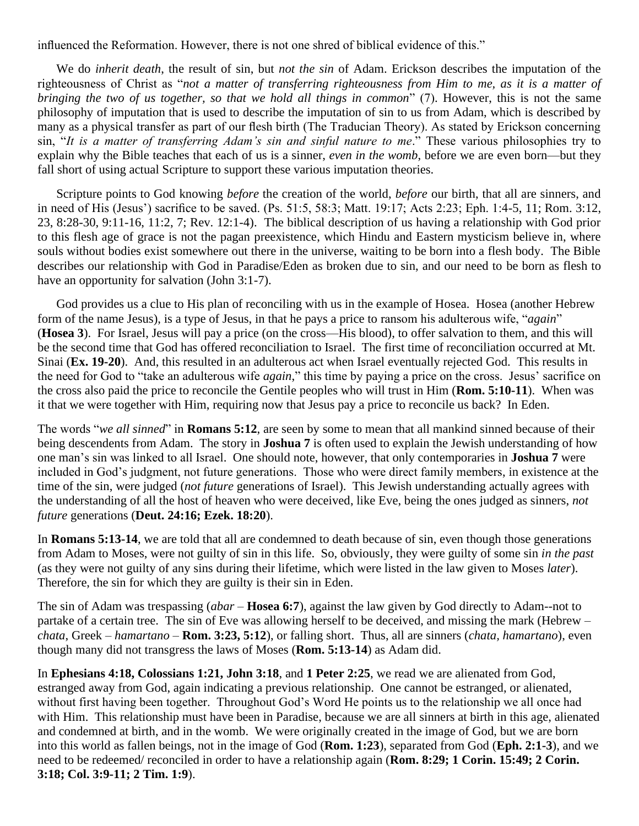influenced the Reformation. However, there is not one shred of biblical evidence of this."

We do *inherit death*, the result of sin, but *not the sin* of Adam. Erickson describes the imputation of the righteousness of Christ as "*not a matter of transferring righteousness from Him to me, as it is a matter of bringing the two of us together, so that we hold all things in common*" (7). However, this is not the same philosophy of imputation that is used to describe the imputation of sin to us from Adam, which is described by many as a physical transfer as part of our flesh birth (The Traducian Theory). As stated by Erickson concerning sin, "*It is a matter of transferring Adam's sin and sinful nature to me*." These various philosophies try to explain why the Bible teaches that each of us is a sinner, *even in the womb*, before we are even born—but they fall short of using actual Scripture to support these various imputation theories.

Scripture points to God knowing *before* the creation of the world, *before* our birth, that all are sinners, and in need of His (Jesus') sacrifice to be saved. (Ps. 51:5, 58:3; Matt. 19:17; Acts 2:23; Eph. 1:4-5, 11; Rom. 3:12, 23, 8:28-30, 9:11-16, 11:2, 7; Rev. 12:1-4). The biblical description of us having a relationship with God prior to this flesh age of grace is not the pagan preexistence, which Hindu and Eastern mysticism believe in, where souls without bodies exist somewhere out there in the universe, waiting to be born into a flesh body. The Bible describes our relationship with God in Paradise/Eden as broken due to sin, and our need to be born as flesh to have an opportunity for salvation (John 3:1-7).

 God provides us a clue to His plan of reconciling with us in the example of Hosea. Hosea (another Hebrew form of the name Jesus), is a type of Jesus, in that he pays a price to ransom his adulterous wife, "*again*" (**Hosea 3**). For Israel, Jesus will pay a price (on the cross—His blood), to offer salvation to them, and this will be the second time that God has offered reconciliation to Israel. The first time of reconciliation occurred at Mt. Sinai (**Ex. 19-20**). And, this resulted in an adulterous act when Israel eventually rejected God. This results in the need for God to "take an adulterous wife *again*," this time by paying a price on the cross. Jesus' sacrifice on the cross also paid the price to reconcile the Gentile peoples who will trust in Him (**Rom. 5:10-11**). When was it that we were together with Him, requiring now that Jesus pay a price to reconcile us back? In Eden.

The words "*we all sinned*" in **Romans 5:12**, are seen by some to mean that all mankind sinned because of their being descendents from Adam. The story in **Joshua 7** is often used to explain the Jewish understanding of how one man's sin was linked to all Israel. One should note, however, that only contemporaries in **Joshua 7** were included in God's judgment, not future generations. Those who were direct family members, in existence at the time of the sin, were judged (*not future* generations of Israel). This Jewish understanding actually agrees with the understanding of all the host of heaven who were deceived, like Eve, being the ones judged as sinners, *not future* generations (**Deut. 24:16; Ezek. 18:20**).

In **Romans 5:13-14**, we are told that all are condemned to death because of sin, even though those generations from Adam to Moses, were not guilty of sin in this life. So, obviously, they were guilty of some sin *in the past* (as they were not guilty of any sins during their lifetime, which were listed in the law given to Moses *later*). Therefore, the sin for which they are guilty is their sin in Eden.

The sin of Adam was trespassing (*abar* – **Hosea 6:7**), against the law given by God directly to Adam--not to partake of a certain tree. The sin of Eve was allowing herself to be deceived, and missing the mark (Hebrew – *chata*, Greek – *hamartano* – **Rom. 3:23, 5:12**), or falling short. Thus, all are sinners (*chata, hamartano*), even though many did not transgress the laws of Moses (**Rom. 5:13-14**) as Adam did.

In **Ephesians 4:18, Colossians 1:21, John 3:18**, and **1 Peter 2:25**, we read we are alienated from God, estranged away from God, again indicating a previous relationship. One cannot be estranged, or alienated, without first having been together. Throughout God's Word He points us to the relationship we all once had with Him. This relationship must have been in Paradise, because we are all sinners at birth in this age, alienated and condemned at birth, and in the womb. We were originally created in the image of God, but we are born into this world as fallen beings, not in the image of God (**Rom. 1:23**), separated from God (**Eph. 2:1-3**), and we need to be redeemed/ reconciled in order to have a relationship again (**Rom. 8:29; 1 Corin. 15:49; 2 Corin. 3:18; Col. 3:9-11; 2 Tim. 1:9**).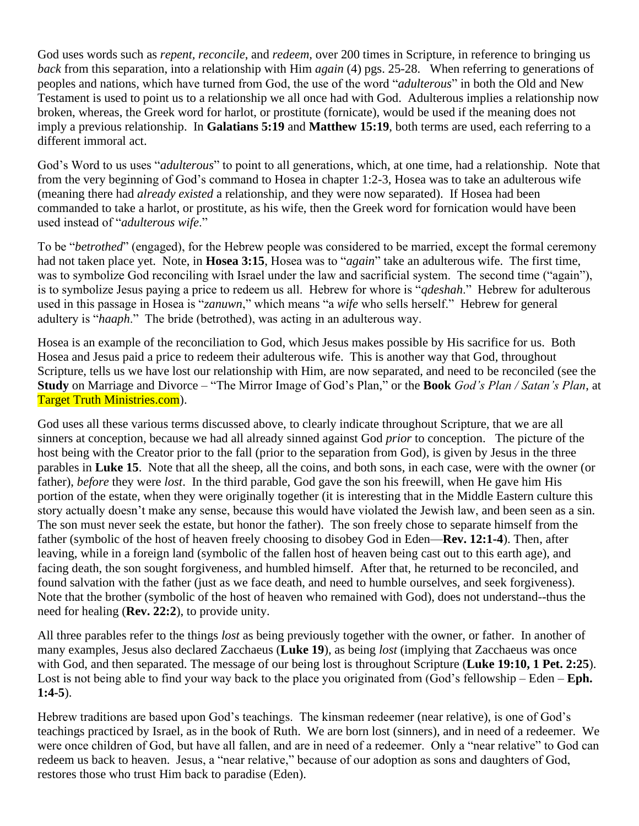God uses words such as *repent, reconcile*, and *redeem,* over 200 times in Scripture, in reference to bringing us *back* from this separation, into a relationship with Him *again* (4) pgs. 25-28. When referring to generations of peoples and nations, which have turned from God, the use of the word "*adulterous*" in both the Old and New Testament is used to point us to a relationship we all once had with God. Adulterous implies a relationship now broken, whereas, the Greek word for harlot, or prostitute (fornicate), would be used if the meaning does not imply a previous relationship. In **Galatians 5:19** and **Matthew 15:19**, both terms are used, each referring to a different immoral act.

God's Word to us uses "*adulterous*" to point to all generations, which, at one time, had a relationship. Note that from the very beginning of God's command to Hosea in chapter 1:2-3, Hosea was to take an adulterous wife (meaning there had *already existed* a relationship, and they were now separated). If Hosea had been commanded to take a harlot, or prostitute, as his wife, then the Greek word for fornication would have been used instead of "*adulterous wife*."

To be "*betrothed*" (engaged), for the Hebrew people was considered to be married, except the formal ceremony had not taken place yet. Note, in **Hosea 3:15**, Hosea was to "*again*" take an adulterous wife. The first time, was to symbolize God reconciling with Israel under the law and sacrificial system. The second time ("again"), is to symbolize Jesus paying a price to redeem us all. Hebrew for whore is "*qdeshah*." Hebrew for adulterous used in this passage in Hosea is "*zanuwn*," which means "a *wife* who sells herself." Hebrew for general adultery is "*haaph*." The bride (betrothed), was acting in an adulterous way.

Hosea is an example of the reconciliation to God, which Jesus makes possible by His sacrifice for us. Both Hosea and Jesus paid a price to redeem their adulterous wife. This is another way that God, throughout Scripture, tells us we have lost our relationship with Him, are now separated, and need to be reconciled (see the **Study** on Marriage and Divorce – "The Mirror Image of God's Plan," or the **Book** *God's Plan / Satan's Plan*, at Target Truth Ministries.com).

God uses all these various terms discussed above, to clearly indicate throughout Scripture, that we are all sinners at conception, because we had all already sinned against God *prior* to conception. The picture of the host being with the Creator prior to the fall (prior to the separation from God), is given by Jesus in the three parables in **Luke 15**. Note that all the sheep, all the coins, and both sons, in each case, were with the owner (or father), *before* they were *lost*. In the third parable, God gave the son his freewill, when He gave him His portion of the estate, when they were originally together (it is interesting that in the Middle Eastern culture this story actually doesn't make any sense, because this would have violated the Jewish law, and been seen as a sin. The son must never seek the estate, but honor the father). The son freely chose to separate himself from the father (symbolic of the host of heaven freely choosing to disobey God in Eden—**Rev. 12:1-4**). Then, after leaving, while in a foreign land (symbolic of the fallen host of heaven being cast out to this earth age), and facing death, the son sought forgiveness, and humbled himself. After that, he returned to be reconciled, and found salvation with the father (just as we face death, and need to humble ourselves, and seek forgiveness). Note that the brother (symbolic of the host of heaven who remained with God), does not understand--thus the need for healing (**Rev. 22:2**), to provide unity.

All three parables refer to the things *lost* as being previously together with the owner, or father. In another of many examples, Jesus also declared Zacchaeus (**Luke 19**), as being *lost* (implying that Zacchaeus was once with God, and then separated. The message of our being lost is throughout Scripture (**Luke 19:10, 1 Pet. 2:25**). Lost is not being able to find your way back to the place you originated from (God's fellowship – Eden – **Eph. 1:4-5**).

Hebrew traditions are based upon God's teachings. The kinsman redeemer (near relative), is one of God's teachings practiced by Israel, as in the book of Ruth. We are born lost (sinners), and in need of a redeemer. We were once children of God, but have all fallen, and are in need of a redeemer. Only a "near relative" to God can redeem us back to heaven. Jesus, a "near relative," because of our adoption as sons and daughters of God, restores those who trust Him back to paradise (Eden).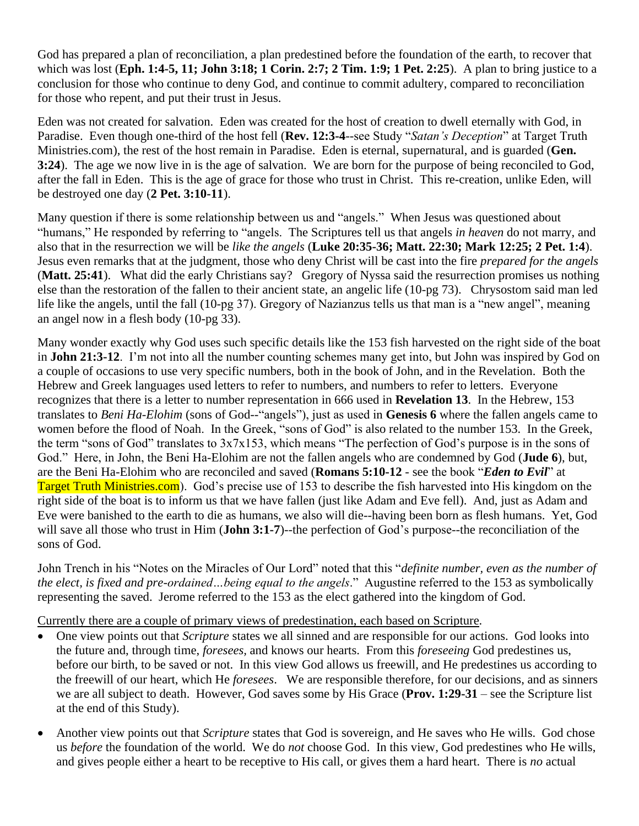God has prepared a plan of reconciliation, a plan predestined before the foundation of the earth, to recover that which was lost (**Eph. 1:4-5, 11; John 3:18; 1 Corin. 2:7; 2 Tim. 1:9; 1 Pet. 2:25**). A plan to bring justice to a conclusion for those who continue to deny God, and continue to commit adultery, compared to reconciliation for those who repent, and put their trust in Jesus.

Eden was not created for salvation. Eden was created for the host of creation to dwell eternally with God, in Paradise. Even though one-third of the host fell (**Rev. 12:3-4**--see Study "*Satan's Deception*" at Target Truth Ministries.com), the rest of the host remain in Paradise. Eden is eternal, supernatural, and is guarded (**Gen. 3:24**). The age we now live in is the age of salvation. We are born for the purpose of being reconciled to God, after the fall in Eden. This is the age of grace for those who trust in Christ. This re-creation, unlike Eden, will be destroyed one day (**2 Pet. 3:10-11**).

Many question if there is some relationship between us and "angels." When Jesus was questioned about "humans," He responded by referring to "angels. The Scriptures tell us that angels *in heaven* do not marry, and also that in the resurrection we will be *like the angels* (**Luke 20:35-36; Matt. 22:30; Mark 12:25; 2 Pet. 1:4**). Jesus even remarks that at the judgment, those who deny Christ will be cast into the fire *prepared for the angels* (**Matt. 25:41**). What did the early Christians say? Gregory of Nyssa said the resurrection promises us nothing else than the restoration of the fallen to their ancient state, an angelic life (10-pg 73). Chrysostom said man led life like the angels, until the fall (10-pg 37). Gregory of Nazianzus tells us that man is a "new angel", meaning an angel now in a flesh body (10-pg 33).

Many wonder exactly why God uses such specific details like the 153 fish harvested on the right side of the boat in **John 21:3-12**. I'm not into all the number counting schemes many get into, but John was inspired by God on a couple of occasions to use very specific numbers, both in the book of John, and in the Revelation. Both the Hebrew and Greek languages used letters to refer to numbers, and numbers to refer to letters. Everyone recognizes that there is a letter to number representation in 666 used in **Revelation 13**. In the Hebrew, 153 translates to *Beni Ha-Elohim* (sons of God--"angels"), just as used in **Genesis 6** where the fallen angels came to women before the flood of Noah. In the Greek, "sons of God" is also related to the number 153. In the Greek, the term "sons of God" translates to 3x7x153, which means "The perfection of God's purpose is in the sons of God." Here, in John, the Beni Ha-Elohim are not the fallen angels who are condemned by God (**Jude 6**), but, are the Beni Ha-Elohim who are reconciled and saved (**Romans 5:10-12** - see the book "*Eden to Evil*" at Target Truth Ministries.com). God's precise use of 153 to describe the fish harvested into His kingdom on the right side of the boat is to inform us that we have fallen (just like Adam and Eve fell). And, just as Adam and Eve were banished to the earth to die as humans, we also will die--having been born as flesh humans. Yet, God will save all those who trust in Him (**John 3:1-7**)--the perfection of God's purpose--the reconciliation of the sons of God.

John Trench in his "Notes on the Miracles of Our Lord" noted that this "*definite number, even as the number of the elect, is fixed and pre-ordained…being equal to the angels*." Augustine referred to the 153 as symbolically representing the saved. Jerome referred to the 153 as the elect gathered into the kingdom of God.

Currently there are a couple of primary views of predestination, each based on Scripture.

- One view points out that *Scripture* states we all sinned and are responsible for our actions. God looks into the future and, through time, *foresees,* and knows our hearts. From this *foreseeing* God predestines us, before our birth, to be saved or not. In this view God allows us freewill, and He predestines us according to the freewill of our heart, which He *foresees*. We are responsible therefore, for our decisions, and as sinners we are all subject to death. However, God saves some by His Grace (**Prov. 1:29-31** – see the Scripture list at the end of this Study).
- Another view points out that *Scripture* states that God is sovereign, and He saves who He wills. God chose us *before* the foundation of the world. We do *not* choose God. In this view, God predestines who He wills, and gives people either a heart to be receptive to His call, or gives them a hard heart. There is *no* actual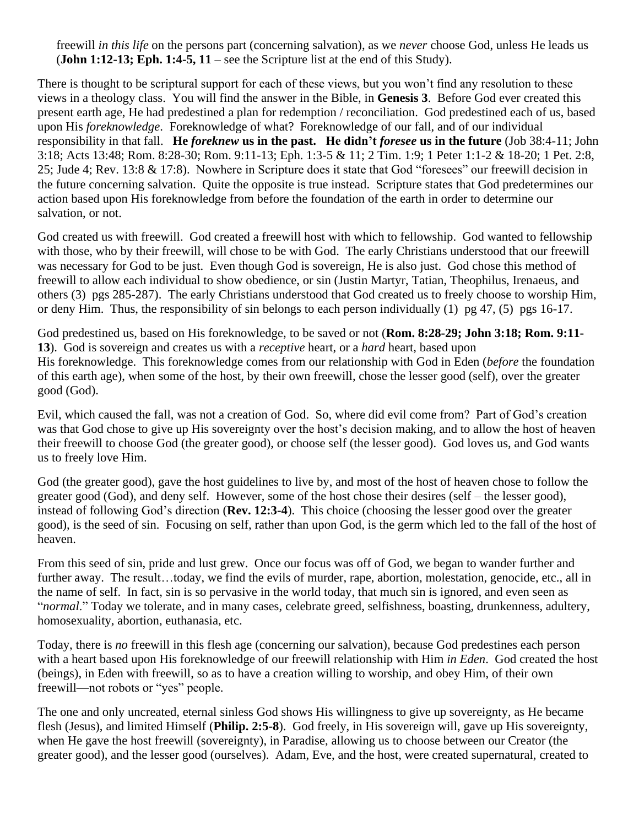freewill *in this life* on the persons part (concerning salvation), as we *never* choose God, unless He leads us (**John 1:12-13; Eph. 1:4-5, 11** – see the Scripture list at the end of this Study).

There is thought to be scriptural support for each of these views, but you won't find any resolution to these views in a theology class. You will find the answer in the Bible, in **Genesis 3**. Before God ever created this present earth age, He had predestined a plan for redemption / reconciliation. God predestined each of us, based upon His *foreknowledge*. Foreknowledge of what? Foreknowledge of our fall, and of our individual responsibility in that fall. **He** *foreknew* **us in the past. He didn't** *foresee* **us in the future** (Job 38:4-11; John 3:18; Acts 13:48; Rom. 8:28-30; Rom. 9:11-13; Eph. 1:3-5 & 11; 2 Tim. 1:9; 1 Peter 1:1-2 & 18-20; 1 Pet. 2:8, 25; Jude 4; Rev. 13:8 & 17:8). Nowhere in Scripture does it state that God "foresees" our freewill decision in the future concerning salvation. Quite the opposite is true instead. Scripture states that God predetermines our action based upon His foreknowledge from before the foundation of the earth in order to determine our salvation, or not.

God created us with freewill. God created a freewill host with which to fellowship. God wanted to fellowship with those, who by their freewill, will chose to be with God. The early Christians understood that our freewill was necessary for God to be just. Even though God is sovereign, He is also just. God chose this method of freewill to allow each individual to show obedience, or sin (Justin Martyr, Tatian, Theophilus, Irenaeus, and others (3) pgs 285-287). The early Christians understood that God created us to freely choose to worship Him, or deny Him. Thus, the responsibility of sin belongs to each person individually (1) pg 47, (5) pgs 16-17.

God predestined us, based on His foreknowledge, to be saved or not (**Rom. 8:28-29; John 3:18; Rom. 9:11- 13**). God is sovereign and creates us with a *receptive* heart, or a *hard* heart, based upon His foreknowledge. This foreknowledge comes from our relationship with God in Eden (*before* the foundation of this earth age), when some of the host, by their own freewill, chose the lesser good (self), over the greater good (God).

Evil, which caused the fall, was not a creation of God. So, where did evil come from? Part of God's creation was that God chose to give up His sovereignty over the host's decision making, and to allow the host of heaven their freewill to choose God (the greater good), or choose self (the lesser good). God loves us, and God wants us to freely love Him.

God (the greater good), gave the host guidelines to live by, and most of the host of heaven chose to follow the greater good (God), and deny self. However, some of the host chose their desires (self – the lesser good), instead of following God's direction (**Rev. 12:3-4**). This choice (choosing the lesser good over the greater good), is the seed of sin. Focusing on self, rather than upon God, is the germ which led to the fall of the host of heaven.

From this seed of sin, pride and lust grew. Once our focus was off of God, we began to wander further and further away. The result...today, we find the evils of murder, rape, abortion, molestation, genocide, etc., all in the name of self. In fact, sin is so pervasive in the world today, that much sin is ignored, and even seen as "*normal*." Today we tolerate, and in many cases, celebrate greed, selfishness, boasting, drunkenness, adultery, homosexuality, abortion, euthanasia, etc.

Today, there is *no* freewill in this flesh age (concerning our salvation), because God predestines each person with a heart based upon His foreknowledge of our freewill relationship with Him *in Eden*. God created the host (beings), in Eden with freewill, so as to have a creation willing to worship, and obey Him, of their own freewill—not robots or "yes" people.

The one and only uncreated, eternal sinless God shows His willingness to give up sovereignty, as He became flesh (Jesus), and limited Himself (**Philip. 2:5-8**). God freely, in His sovereign will, gave up His sovereignty, when He gave the host freewill (sovereignty), in Paradise, allowing us to choose between our Creator (the greater good), and the lesser good (ourselves). Adam, Eve, and the host, were created supernatural, created to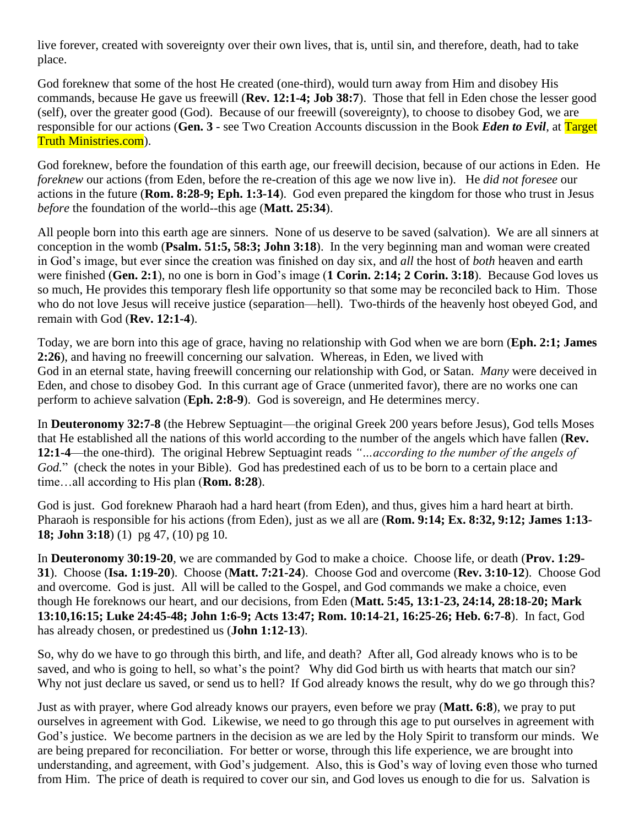live forever, created with sovereignty over their own lives, that is, until sin, and therefore, death, had to take place.

God foreknew that some of the host He created (one-third), would turn away from Him and disobey His commands, because He gave us freewill (**Rev. 12:1-4; Job 38:7**). Those that fell in Eden chose the lesser good (self), over the greater good (God). Because of our freewill (sovereignty), to choose to disobey God, we are responsible for our actions (**Gen. 3** - see Two Creation Accounts discussion in the Book *Eden to Evil*, at Target Truth Ministries.com).

God foreknew, before the foundation of this earth age, our freewill decision, because of our actions in Eden. He *foreknew* our actions (from Eden, before the re-creation of this age we now live in). He *did not foresee* our actions in the future (**Rom. 8:28-9; Eph. 1:3-14**). God even prepared the kingdom for those who trust in Jesus *before* the foundation of the world--this age (**Matt. 25:34**).

All people born into this earth age are sinners. None of us deserve to be saved (salvation). We are all sinners at conception in the womb (**Psalm. 51:5, 58:3; John 3:18**). In the very beginning man and woman were created in God's image, but ever since the creation was finished on day six, and *all* the host of *both* heaven and earth were finished (**Gen. 2:1**), no one is born in God's image (**1 Corin. 2:14; 2 Corin. 3:18**). Because God loves us so much, He provides this temporary flesh life opportunity so that some may be reconciled back to Him. Those who do not love Jesus will receive justice (separation—hell). Two-thirds of the heavenly host obeyed God, and remain with God (**Rev. 12:1-4**).

Today, we are born into this age of grace, having no relationship with God when we are born (**Eph. 2:1; James 2:26**), and having no freewill concerning our salvation. Whereas, in Eden, we lived with God in an eternal state, having freewill concerning our relationship with God, or Satan. *Many* were deceived in Eden, and chose to disobey God. In this currant age of Grace (unmerited favor), there are no works one can perform to achieve salvation (**Eph. 2:8-9**). God is sovereign, and He determines mercy.

In **Deuteronomy 32:7-8** (the Hebrew Septuagint—the original Greek 200 years before Jesus), God tells Moses that He established all the nations of this world according to the number of the angels which have fallen (**Rev. 12:1-4**—the one-third). The original Hebrew Septuagint reads *"…according to the number of the angels of God.*" (check the notes in your Bible). God has predestined each of us to be born to a certain place and time…all according to His plan (**Rom. 8:28**).

God is just. God foreknew Pharaoh had a hard heart (from Eden), and thus, gives him a hard heart at birth. Pharaoh is responsible for his actions (from Eden), just as we all are (**Rom. 9:14; Ex. 8:32, 9:12; James 1:13- 18; John 3:18**) (1) pg 47, (10) pg 10.

In **Deuteronomy 30:19-20**, we are commanded by God to make a choice. Choose life, or death (**Prov. 1:29- 31**). Choose (**Isa. 1:19-20**). Choose (**Matt. 7:21-24**). Choose God and overcome (**Rev. 3:10-12**). Choose God and overcome. God is just. All will be called to the Gospel, and God commands we make a choice, even though He foreknows our heart, and our decisions, from Eden (**Matt. 5:45, 13:1-23, 24:14, 28:18-20; Mark 13:10,16:15; Luke 24:45-48; John 1:6-9; Acts 13:47; Rom. 10:14-21, 16:25-26; Heb. 6:7-8**). In fact, God has already chosen, or predestined us (**John 1:12-13**).

So, why do we have to go through this birth, and life, and death? After all, God already knows who is to be saved, and who is going to hell, so what's the point? Why did God birth us with hearts that match our sin? Why not just declare us saved, or send us to hell? If God already knows the result, why do we go through this?

Just as with prayer, where God already knows our prayers, even before we pray (**Matt. 6:8**), we pray to put ourselves in agreement with God. Likewise, we need to go through this age to put ourselves in agreement with God's justice. We become partners in the decision as we are led by the Holy Spirit to transform our minds. We are being prepared for reconciliation. For better or worse, through this life experience, we are brought into understanding, and agreement, with God's judgement. Also, this is God's way of loving even those who turned from Him. The price of death is required to cover our sin, and God loves us enough to die for us. Salvation is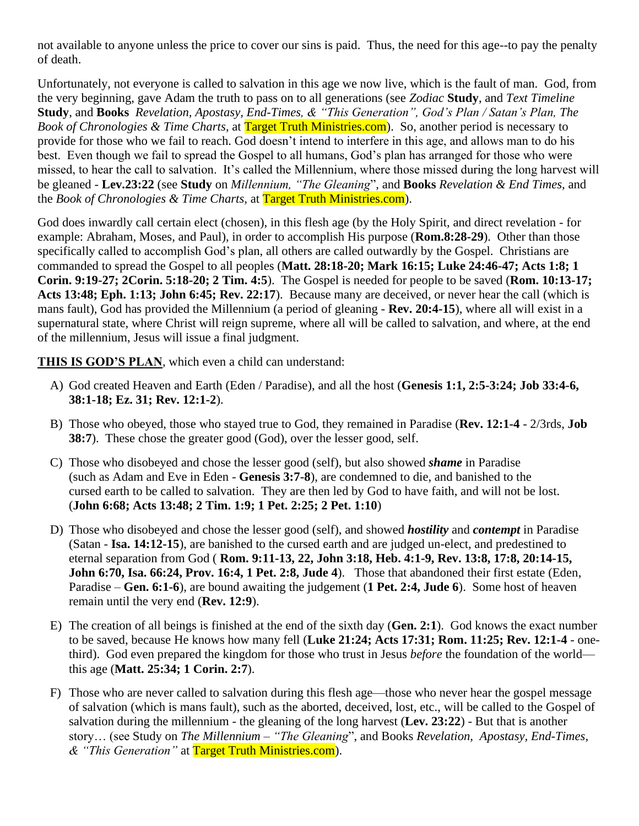not available to anyone unless the price to cover our sins is paid. Thus, the need for this age--to pay the penalty of death.

Unfortunately, not everyone is called to salvation in this age we now live, which is the fault of man. God, from the very beginning, gave Adam the truth to pass on to all generations (see *Zodiac* **Study**, and *Text Timeline* **Study**, and **Books** *Revelation, Apostasy, End-Times, & "This Generation", God's Plan / Satan's Plan, The Book of Chronologies & Time Charts*, at Target Truth Ministries.com). So, another period is necessary to provide for those who we fail to reach. God doesn't intend to interfere in this age, and allows man to do his best. Even though we fail to spread the Gospel to all humans, God's plan has arranged for those who were missed, to hear the call to salvation. It's called the Millennium, where those missed during the long harvest will be gleaned - **Lev.23:22** (see **Study** on *Millennium, "The Gleaning*", and **Books** *Revelation & End Times,* and the *Book of Chronologies & Time Charts,* at Target Truth Ministries.com).

God does inwardly call certain elect (chosen), in this flesh age (by the Holy Spirit, and direct revelation - for example: Abraham, Moses, and Paul), in order to accomplish His purpose (**Rom.8:28-29**). Other than those specifically called to accomplish God's plan, all others are called outwardly by the Gospel. Christians are commanded to spread the Gospel to all peoples (**Matt. 28:18-20; Mark 16:15; Luke 24:46-47; Acts 1:8; 1 Corin. 9:19-27; 2Corin. 5:18-20; 2 Tim. 4:5**). The Gospel is needed for people to be saved (**Rom. 10:13-17; Acts 13:48; Eph. 1:13; John 6:45; Rev. 22:17**). Because many are deceived, or never hear the call (which is mans fault), God has provided the Millennium (a period of gleaning - **Rev. 20:4-15**), where all will exist in a supernatural state, where Christ will reign supreme, where all will be called to salvation, and where, at the end of the millennium, Jesus will issue a final judgment.

**THIS IS GOD'S PLAN**, which even a child can understand:

- A) God created Heaven and Earth (Eden / Paradise), and all the host (**Genesis 1:1, 2:5-3:24; Job 33:4-6, 38:1-18; Ez. 31; Rev. 12:1-2**).
- B) Those who obeyed, those who stayed true to God, they remained in Paradise (**Rev. 12:1-4** 2/3rds, **Job 38:7**). These chose the greater good (God), over the lesser good, self.
- C) Those who disobeyed and chose the lesser good (self), but also showed *shame* in Paradise (such as Adam and Eve in Eden - **Genesis 3:7-8**), are condemned to die, and banished to the cursed earth to be called to salvation. They are then led by God to have faith, and will not be lost. (**John 6:68; Acts 13:48; 2 Tim. 1:9; 1 Pet. 2:25; 2 Pet. 1:10**)
- D) Those who disobeyed and chose the lesser good (self), and showed *hostility* and *contempt* in Paradise (Satan - **Isa. 14:12-15**), are banished to the cursed earth and are judged un-elect, and predestined to eternal separation from God ( **Rom. 9:11-13, 22, John 3:18, Heb. 4:1-9, Rev. 13:8, 17:8, 20:14-15, John 6:70, Isa. 66:24, Prov. 16:4, 1 Pet. 2:8, Jude 4**). Those that abandoned their first estate (Eden, Paradise – **Gen. 6:1-6**), are bound awaiting the judgement (**1 Pet. 2:4, Jude 6**). Some host of heaven remain until the very end (**Rev. 12:9**).
- E) The creation of all beings is finished at the end of the sixth day (**Gen. 2:1**). God knows the exact number to be saved, because He knows how many fell (**Luke 21:24; Acts 17:31; Rom. 11:25; Rev. 12:1-4** - onethird). God even prepared the kingdom for those who trust in Jesus *before* the foundation of the world this age (**Matt. 25:34; 1 Corin. 2:7**).
- F) Those who are never called to salvation during this flesh age—those who never hear the gospel message of salvation (which is mans fault), such as the aborted, deceived, lost, etc., will be called to the Gospel of salvation during the millennium - the gleaning of the long harvest (**Lev. 23:22**) - But that is another story… (see Study on *The Millennium – "The Gleaning*", and Books *Revelation, Apostasy, End-Times, & "This Generation"* at Target Truth Ministries.com).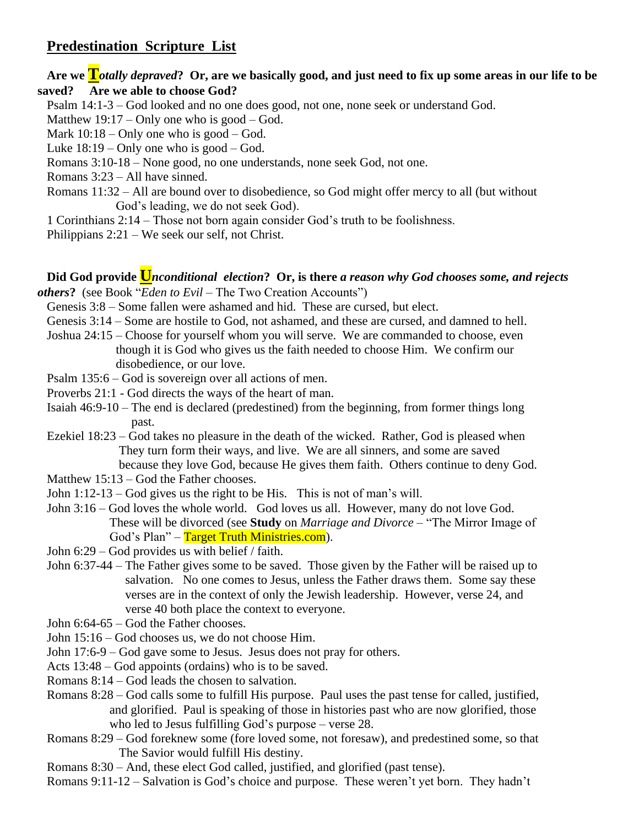## **Predestination Scripture List**

### **Are we T***otally depraved***? Or, are we basically good, and just need to fix up some areas in our life to be saved? Are we able to choose God?**

- Psalm 14:1-3 God looked and no one does good, not one, none seek or understand God.
- Matthew  $19:17$  Only one who is good God.
- Mark  $10:18$  Only one who is good God.
- Luke  $18:19$  Only one who is good God.
- Romans 3:10-18 None good, no one understands, none seek God, not one.
- Romans 3:23 All have sinned.
- Romans 11:32 All are bound over to disobedience, so God might offer mercy to all (but without God's leading, we do not seek God).
- 1 Corinthians 2:14 Those not born again consider God's truth to be foolishness.
- Philippians 2:21 We seek our self, not Christ.

# **Did God provide U***nconditional election***? Or, is there** *a reason why God chooses some, and rejects*

- *others***?** (see Book "*Eden to Evil* The Two Creation Accounts")
	- Genesis 3:8 Some fallen were ashamed and hid. These are cursed, but elect.
	- Genesis 3:14 Some are hostile to God, not ashamed, and these are cursed, and damned to hell.
	- Joshua 24:15 Choose for yourself whom you will serve. We are commanded to choose, even though it is God who gives us the faith needed to choose Him. We confirm our disobedience, or our love.
	- Psalm 135:6 God is sovereign over all actions of men.
	- Proverbs 21:1 God directs the ways of the heart of man.
	- Isaiah 46:9-10 The end is declared (predestined) from the beginning, from former things long past.
	- Ezekiel 18:23 God takes no pleasure in the death of the wicked. Rather, God is pleased when They turn form their ways, and live. We are all sinners, and some are saved because they love God, because He gives them faith. Others continue to deny God.
	- Matthew 15:13 God the Father chooses.
	- John 1:12-13 God gives us the right to be His. This is not of man's will.
	- John 3:16 God loves the whole world. God loves us all. However, many do not love God. These will be divorced (see **Study** on *Marriage and Divorce* – "The Mirror Image of God's Plan" – Target Truth Ministries.com).
	- John 6:29 God provides us with belief / faith.
	- John 6:37-44 The Father gives some to be saved. Those given by the Father will be raised up to salvation. No one comes to Jesus, unless the Father draws them. Some say these verses are in the context of only the Jewish leadership. However, verse 24, and verse 40 both place the context to everyone.
	- John 6:64-65 God the Father chooses.
	- John 15:16 God chooses us, we do not choose Him.
	- John 17:6-9 God gave some to Jesus. Jesus does not pray for others.
	- Acts 13:48 God appoints (ordains) who is to be saved.
	- Romans 8:14 God leads the chosen to salvation.
	- Romans 8:28 God calls some to fulfill His purpose. Paul uses the past tense for called, justified, and glorified. Paul is speaking of those in histories past who are now glorified, those who led to Jesus fulfilling God's purpose – verse 28.
	- Romans 8:29 God foreknew some (fore loved some, not foresaw), and predestined some, so that The Savior would fulfill His destiny.
	- Romans 8:30 And, these elect God called, justified, and glorified (past tense).
	- Romans 9:11-12 Salvation is God's choice and purpose. These weren't yet born. They hadn't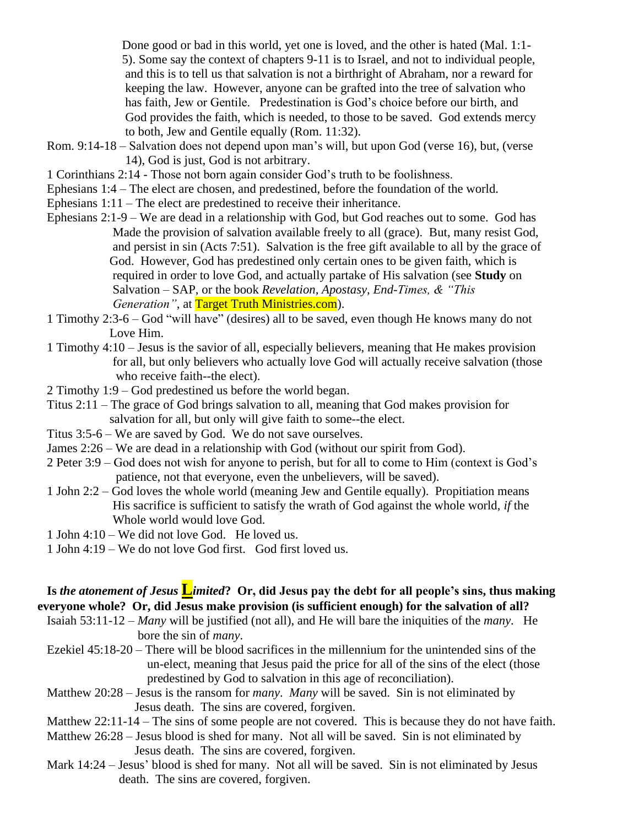Done good or bad in this world, yet one is loved, and the other is hated (Mal. 1:1- 5). Some say the context of chapters 9-11 is to Israel, and not to individual people, and this is to tell us that salvation is not a birthright of Abraham, nor a reward for keeping the law. However, anyone can be grafted into the tree of salvation who has faith, Jew or Gentile. Predestination is God's choice before our birth, and God provides the faith, which is needed, to those to be saved. God extends mercy to both, Jew and Gentile equally (Rom. 11:32).

- Rom. 9:14-18 Salvation does not depend upon man's will, but upon God (verse 16), but, (verse 14), God is just, God is not arbitrary.
- 1 Corinthians 2:14 Those not born again consider God's truth to be foolishness.
- Ephesians 1:4 The elect are chosen, and predestined, before the foundation of the world.
- Ephesians 1:11 The elect are predestined to receive their inheritance.
- Ephesians 2:1-9 We are dead in a relationship with God, but God reaches out to some. God has Made the provision of salvation available freely to all (grace). But, many resist God, and persist in sin (Acts 7:51). Salvation is the free gift available to all by the grace of God. However, God has predestined only certain ones to be given faith, which is required in order to love God, and actually partake of His salvation (see **Study** on Salvation – SAP, or the book *Revelation, Apostasy, End-Times, & "This Generation"*, at **Target Truth Ministries.com**).
- 1 Timothy 2:3-6 God "will have" (desires) all to be saved, even though He knows many do not Love Him.
- 1 Timothy 4:10 Jesus is the savior of all, especially believers, meaning that He makes provision for all, but only believers who actually love God will actually receive salvation (those who receive faith--the elect).
- 2 Timothy 1:9 God predestined us before the world began.
- Titus 2:11 The grace of God brings salvation to all, meaning that God makes provision for salvation for all, but only will give faith to some--the elect.
- Titus 3:5-6 We are saved by God. We do not save ourselves.
- James 2:26 We are dead in a relationship with God (without our spirit from God).
- 2 Peter 3:9 God does not wish for anyone to perish, but for all to come to Him (context is God's patience, not that everyone, even the unbelievers, will be saved).
- 1 John 2:2 God loves the whole world (meaning Jew and Gentile equally). Propitiation means His sacrifice is sufficient to satisfy the wrath of God against the whole world, *if* the Whole world would love God.
- 1 John 4:10 We did not love God. He loved us.
- 1 John 4:19 We do not love God first. God first loved us.

## **Is** *the atonement of Jesus* **L***imited***? Or, did Jesus pay the debt for all people's sins, thus making everyone whole? Or, did Jesus make provision (is sufficient enough) for the salvation of all?**

- Isaiah 53:11-12 *Many* will be justified (not all), and He will bare the iniquities of the *many*. He bore the sin of *many*.
- Ezekiel 45:18-20 There will be blood sacrifices in the millennium for the unintended sins of the un-elect, meaning that Jesus paid the price for all of the sins of the elect (those predestined by God to salvation in this age of reconciliation).
- Matthew 20:28 Jesus is the ransom for *many*. *Many* will be saved. Sin is not eliminated by Jesus death. The sins are covered, forgiven.
- Matthew 22:11-14 The sins of some people are not covered. This is because they do not have faith.
- Matthew 26:28 Jesus blood is shed for many. Not all will be saved. Sin is not eliminated by Jesus death. The sins are covered, forgiven.
- Mark 14:24 Jesus' blood is shed for many. Not all will be saved. Sin is not eliminated by Jesus death. The sins are covered, forgiven.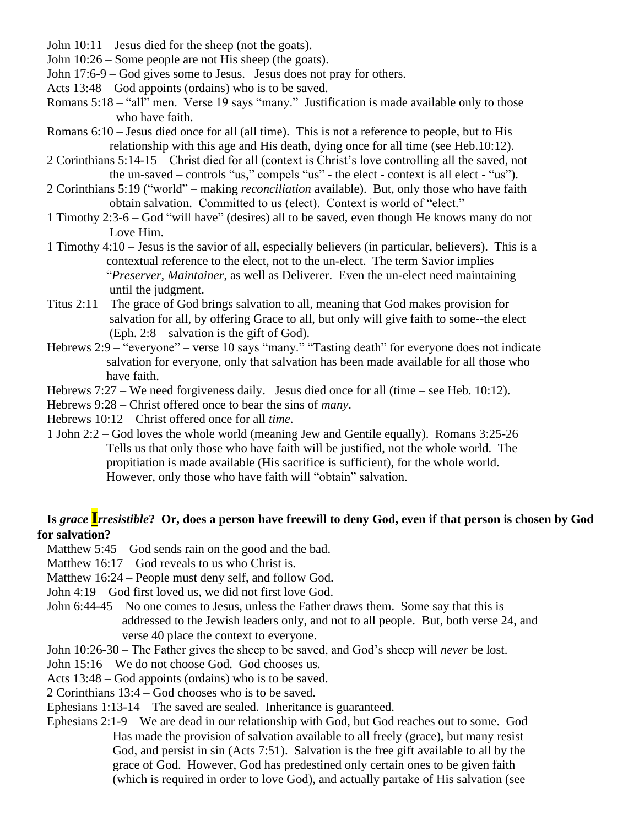John 10:11 – Jesus died for the sheep (not the goats).

John 10:26 – Some people are not His sheep (the goats).

John 17:6-9 – God gives some to Jesus. Jesus does not pray for others.

Acts 13:48 – God appoints (ordains) who is to be saved.

Romans 5:18 – "all" men. Verse 19 says "many." Justification is made available only to those who have faith.

- Romans 6:10 Jesus died once for all (all time). This is not a reference to people, but to His relationship with this age and His death, dying once for all time (see Heb.10:12).
- 2 Corinthians 5:14-15 Christ died for all (context is Christ's love controlling all the saved, not the un-saved – controls "us," compels "us" - the elect - context is all elect - "us").
- 2 Corinthians 5:19 ("world" making *reconciliation* available). But, only those who have faith obtain salvation. Committed to us (elect). Context is world of "elect."
- 1 Timothy 2:3-6 God "will have" (desires) all to be saved, even though He knows many do not Love Him.
- 1 Timothy 4:10 Jesus is the savior of all, especially believers (in particular, believers). This is a contextual reference to the elect, not to the un-elect. The term Savior implies "*Preserver, Maintainer*, as well as Deliverer. Even the un-elect need maintaining until the judgment.
- Titus 2:11 The grace of God brings salvation to all, meaning that God makes provision for salvation for all, by offering Grace to all, but only will give faith to some--the elect (Eph. 2:8 – salvation is the gift of God).
- Hebrews 2:9 "everyone" verse 10 says "many." "Tasting death" for everyone does not indicate salvation for everyone, only that salvation has been made available for all those who have faith.

Hebrews 7:27 – We need forgiveness daily. Jesus died once for all (time – see Heb. 10:12).

Hebrews 9:28 – Christ offered once to bear the sins of *many*.

Hebrews 10:12 – Christ offered once for all *time*.

1 John 2:2 – God loves the whole world (meaning Jew and Gentile equally). Romans 3:25-26 Tells us that only those who have faith will be justified, not the whole world. The propitiation is made available (His sacrifice is sufficient), for the whole world. However, only those who have faith will "obtain" salvation.

### **Is** *grace* **I***rresistible***? Or, does a person have freewill to deny God, even if that person is chosen by God for salvation?**

Matthew 5:45 – God sends rain on the good and the bad.

Matthew 16:17 – God reveals to us who Christ is.

Matthew 16:24 – People must deny self, and follow God.

John 4:19 – God first loved us, we did not first love God.

- John 6:44-45 No one comes to Jesus, unless the Father draws them. Some say that this is addressed to the Jewish leaders only, and not to all people. But, both verse 24, and verse 40 place the context to everyone.
- John 10:26-30 The Father gives the sheep to be saved, and God's sheep will *never* be lost.
- John 15:16 We do not choose God. God chooses us.
- Acts 13:48 God appoints (ordains) who is to be saved.

2 Corinthians 13:4 – God chooses who is to be saved.

Ephesians 1:13-14 – The saved are sealed. Inheritance is guaranteed.

Ephesians 2:1-9 – We are dead in our relationship with God, but God reaches out to some. God Has made the provision of salvation available to all freely (grace), but many resist God, and persist in sin (Acts 7:51). Salvation is the free gift available to all by the grace of God. However, God has predestined only certain ones to be given faith (which is required in order to love God), and actually partake of His salvation (see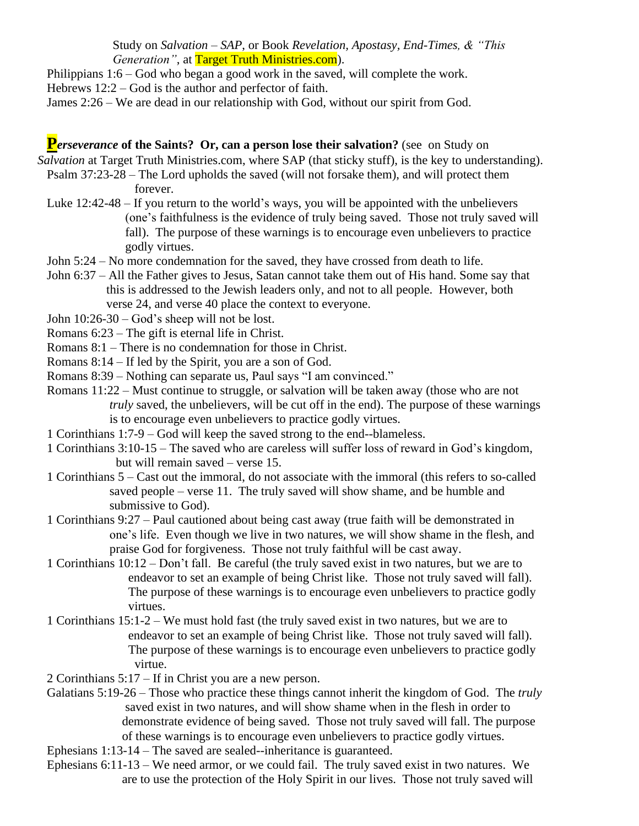Study on *Salvation – SAP*, or Book *Revelation, Apostasy, End-Times, & "This Generation"*, at **Target Truth Ministries.com**).

Philippians 1:6 – God who began a good work in the saved, will complete the work. Hebrews 12:2 – God is the author and perfector of faith.

James 2:26 – We are dead in our relationship with God, without our spirit from God.

### **P***Perseverance* **of the Saints? Or, can a person lose their salvation? (see on Study on**  $\blacksquare$

*Salvation* at Target Truth Ministries.com, where SAP (that sticky stuff), is the key to understanding).

- Psalm 37:23-28 The Lord upholds the saved (will not forsake them), and will protect them forever.
- Luke 12:42-48 If you return to the world's ways, you will be appointed with the unbelievers (one's faithfulness is the evidence of truly being saved. Those not truly saved will fall). The purpose of these warnings is to encourage even unbelievers to practice godly virtues.
- John 5:24 No more condemnation for the saved, they have crossed from death to life.
- John 6:37 All the Father gives to Jesus, Satan cannot take them out of His hand. Some say that this is addressed to the Jewish leaders only, and not to all people. However, both verse 24, and verse 40 place the context to everyone.
- John 10:26-30 God's sheep will not be lost.
- Romans 6:23 The gift is eternal life in Christ.
- Romans 8:1 There is no condemnation for those in Christ.
- Romans 8:14 If led by the Spirit, you are a son of God.
- Romans 8:39 Nothing can separate us, Paul says "I am convinced."
- Romans 11:22 Must continue to struggle, or salvation will be taken away (those who are not *truly* saved, the unbelievers, will be cut off in the end). The purpose of these warnings is to encourage even unbelievers to practice godly virtues.
- 1 Corinthians 1:7-9 God will keep the saved strong to the end--blameless.
- 1 Corinthians 3:10-15 The saved who are careless will suffer loss of reward in God's kingdom, but will remain saved – verse 15.
- 1 Corinthians 5 Cast out the immoral, do not associate with the immoral (this refers to so-called saved people – verse 11. The truly saved will show shame, and be humble and submissive to God).
- 1 Corinthians 9:27 Paul cautioned about being cast away (true faith will be demonstrated in one's life. Even though we live in two natures, we will show shame in the flesh, and praise God for forgiveness. Those not truly faithful will be cast away.
- 1 Corinthians 10:12 Don't fall. Be careful (the truly saved exist in two natures, but we are to endeavor to set an example of being Christ like. Those not truly saved will fall). The purpose of these warnings is to encourage even unbelievers to practice godly virtues.
- 1 Corinthians 15:1-2 We must hold fast (the truly saved exist in two natures, but we are to endeavor to set an example of being Christ like. Those not truly saved will fall). The purpose of these warnings is to encourage even unbelievers to practice godly virtue.
- 2 Corinthians 5:17 If in Christ you are a new person.
- Galatians 5:19-26 Those who practice these things cannot inherit the kingdom of God. The *truly* saved exist in two natures, and will show shame when in the flesh in order to demonstrate evidence of being saved. Those not truly saved will fall. The purpose of these warnings is to encourage even unbelievers to practice godly virtues.
- Ephesians 1:13-14 The saved are sealed--inheritance is guaranteed.
- Ephesians 6:11-13 We need armor, or we could fail. The truly saved exist in two natures. We are to use the protection of the Holy Spirit in our lives. Those not truly saved will